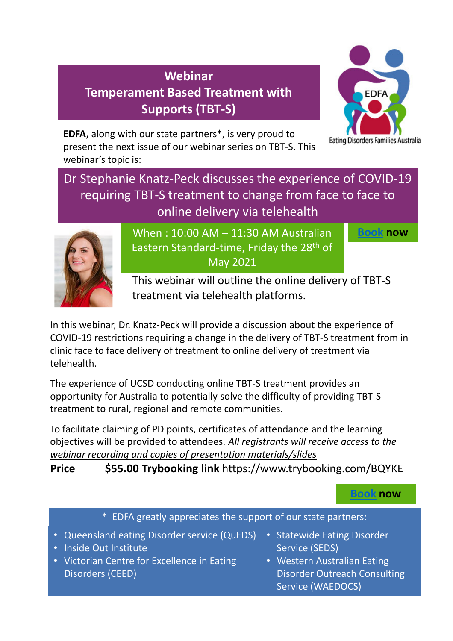# **Webinar Temperament Based Treatment with Supports (TBT-S)**



**EDFA,** along with our state partners\*, is very proud to present the next issue of our webinar series on TBT-S. This webinar's topic is:

## Dr Stephanie Knatz-Peck discusses the experience of COVID-19 requiring TBT-S treatment to change from face to face to online delivery via telehealth



When : 10:00 AM – 11:30 AM Australian Eastern Standard-time, Friday the 28<sup>th</sup> of May 2021

**Book now**

This webinar will outline the online delivery of TBT-S treatment via telehealth platforms.

In this webinar, Dr. Knatz-Peck will provide a discussion about the experience of COVID-19 restrictions requiring a change in the delivery of TBT-S treatment from in clinic face to face delivery of treatment to online delivery of treatment via telehealth.

The experience of UCSD conducting online TBT-S treatment provides an opportunity for Australia to potentially solve the difficulty of providing TBT-S treatment to rural, regional and remote communities.

To facilitate claiming of PD points, certificates of attendance and the learning objectives will be provided to attendees. *All registrants will receive access to the webinar recording and copies of presentation materials/slides*

**Price \$55.00 Trybooking link** https://www.trybooking.com/BQYKE

## **Book now**

\* EDFA greatly appreciates the support of our state partners:

- Queensland eating Disorder service (QuEDS)
- Inside Out Institute
- Victorian Centre for Excellence in Eating Disorders (CEED)
- Statewide Eating Disorder Service (SEDS)
- Western Australian Eating Disorder Outreach Consulting Service (WAEDOCS)